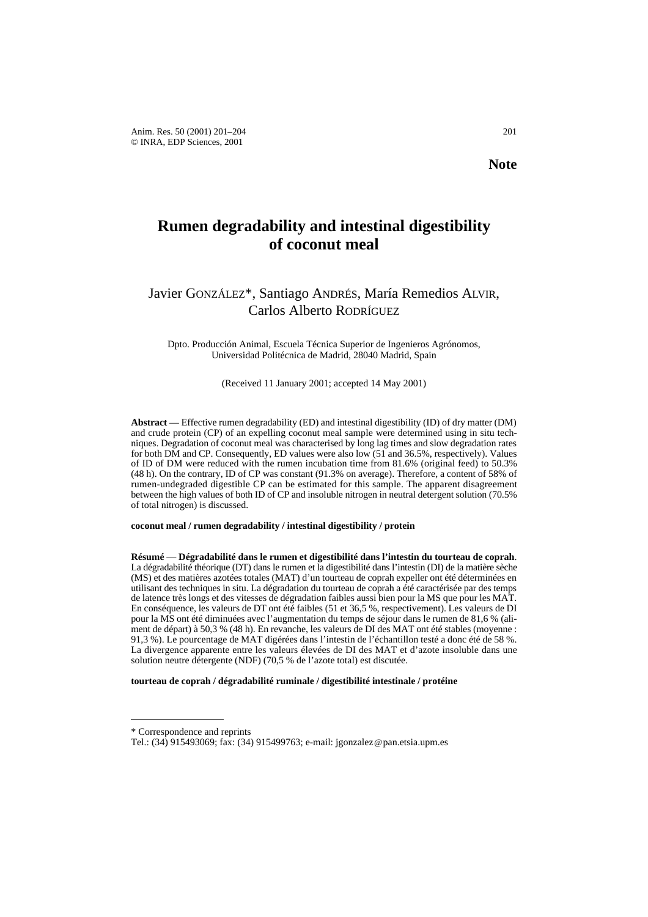# **Rumen degradability and intestinal digestibility of coconut meal**

## Javier GONZÁLEZ\*, Santiago ANDRÉS, María Remedios ALVIR, Carlos Alberto RODRÍGUEZ

Dpto. Producción Animal, Escuela Técnica Superior de Ingenieros Agrónomos, Universidad Politécnica de Madrid, 28040 Madrid, Spain

(Received 11 January 2001; accepted 14 May 2001)

**Abstract** — Effective rumen degradability (ED) and intestinal digestibility (ID) of dry matter (DM) and crude protein (CP) of an expelling coconut meal sample were determined using in situ techniques. Degradation of coconut meal was characterised by long lag times and slow degradation rates for both DM and CP. Consequently, ED values were also low (51 and 36.5%, respectively). Values of ID of DM were reduced with the rumen incubation time from 81.6% (original feed) to 50.3% (48 h). On the contrary, ID of CP was constant (91.3% on average). Therefore, a content of 58% of rumen-undegraded digestible CP can be estimated for this sample. The apparent disagreement between the high values of both ID of CP and insoluble nitrogen in neutral detergent solution (70.5% of total nitrogen) is discussed.

### **coconut meal / rumen degradability / intestinal digestibility / protein**

**Résumé** — **Dégradabilité dans le rumen et digestibilité dans l'intestin du tourteau de coprah**. La dégradabilité théorique (DT) dans le rumen et la digestibilité dans l'intestin (DI) de la matière sèche (MS) et des matières azotées totales (MAT) d'un tourteau de coprah expeller ont été déterminées en utilisant des techniques in situ. La dégradation du tourteau de coprah a été caractérisée par des temps de latence très longs et des vitesses de dégradation faibles aussi bien pour la MS que pour les MAT. En conséquence, les valeurs de DT ont été faibles (51 et 36,5 %, respectivement). Les valeurs de DI pour la MS ont été diminuées avec l'augmentation du temps de séjour dans le rumen de 81,6 % (aliment de départ) à 50,3 % (48 h). En revanche, les valeurs de DI des MAT ont été stables (moyenne : 91,3 %). Le pourcentage de MAT digérées dans l'intestin de l'échantillon testé a donc été de 58 %. La divergence apparente entre les valeurs élevées de DI des MAT et d'azote insoluble dans une solution neutre détergente (NDF) (70,5 % de l'azote total) est discutée.

**tourteau de coprah / dégradabilité ruminale / digestibilité intestinale / protéine**

<sup>\*</sup> Correspondence and reprints

Tel.: (34) 915493069; fax: (34) 915499763; e-mail: jgonzalez@pan.etsia.upm.es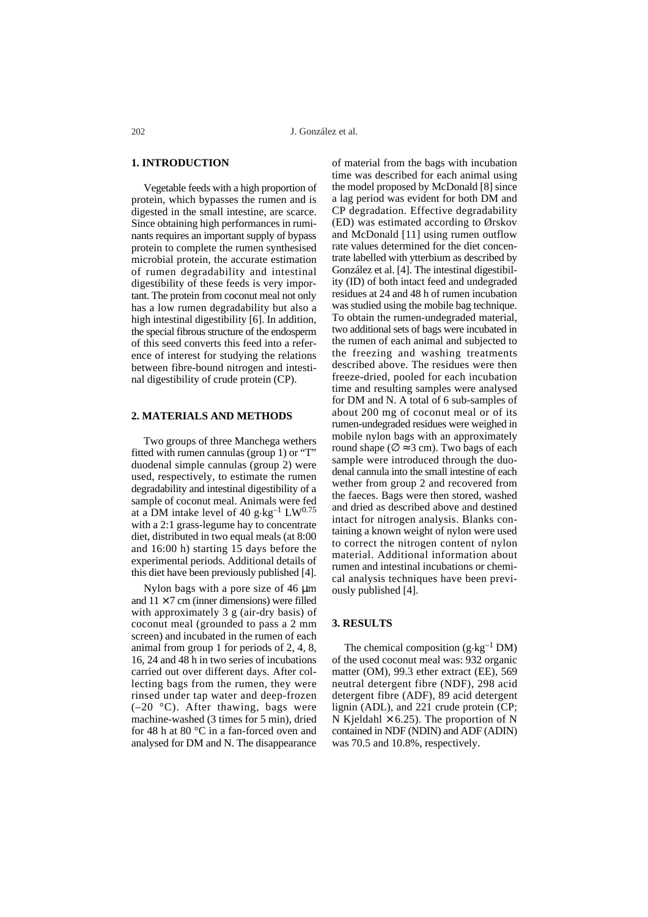## **1. INTRODUCTION**

Vegetable feeds with a high proportion of protein, which bypasses the rumen and is digested in the small intestine, are scarce. Since obtaining high performances in ruminants requires an important supply of bypass protein to complete the rumen synthesised microbial protein, the accurate estimation of rumen degradability and intestinal digestibility of these feeds is very important. The protein from coconut meal not only has a low rumen degradability but also a high intestinal digestibility [6]. In addition, the special fibrous structure of the endosperm of this seed converts this feed into a reference of interest for studying the relations between fibre-bound nitrogen and intestinal digestibility of crude protein (CP).

## **2. MATERIALS AND METHODS**

Two groups of three Manchega wethers fitted with rumen cannulas (group 1) or "T" duodenal simple cannulas (group 2) were used, respectively, to estimate the rumen degradability and intestinal digestibility of a sample of coconut meal. Animals were fed at a DM intake level of 40 g $\text{kg}^{-1}$  LW<sup>0.75</sup> with a 2:1 grass-legume hay to concentrate diet, distributed in two equal meals (at 8:00 and 16:00 h) starting 15 days before the experimental periods. Additional details of this diet have been previously published [4].

Nylon bags with a pore size of 46 µm and  $11 \times 7$  cm (inner dimensions) were filled with approximately 3 g (air-dry basis) of coconut meal (grounded to pass a 2 mm screen) and incubated in the rumen of each animal from group 1 for periods of 2, 4, 8, 16, 24 and 48 h in two series of incubations carried out over different days. After collecting bags from the rumen, they were rinsed under tap water and deep-frozen  $(-20 \degree C)$ . After thawing, bags were machine-washed (3 times for 5 min), dried for 48 h at 80 °C in a fan-forced oven and analysed for DM and N. The disappearance of material from the bags with incubation time was described for each animal using the model proposed by McDonald [8] since a lag period was evident for both DM and CP degradation. Effective degradability (ED) was estimated according to Ørskov and McDonald [11] using rumen outflow rate values determined for the diet concentrate labelled with ytterbium as described by González et al. [4]. The intestinal digestibility (ID) of both intact feed and undegraded residues at 24 and 48 h of rumen incubation was studied using the mobile bag technique. To obtain the rumen-undegraded material, two additional sets of bags were incubated in the rumen of each animal and subjected to the freezing and washing treatments described above. The residues were then freeze-dried, pooled for each incubation time and resulting samples were analysed for DM and N. A total of 6 sub-samples of about 200 mg of coconut meal or of its rumen-undegraded residues were weighed in mobile nylon bags with an approximately round shape ( $\varnothing \approx 3$  cm). Two bags of each sample were introduced through the duodenal cannula into the small intestine of each wether from group 2 and recovered from the faeces. Bags were then stored, washed and dried as described above and destined intact for nitrogen analysis. Blanks containing a known weight of nylon were used to correct the nitrogen content of nylon material. Additional information about rumen and intestinal incubations or chemical analysis techniques have been previously published [4].

### **3. RESULTS**

The chemical composition  $(g \cdot kg^{-1} DM)$ of the used coconut meal was: 932 organic matter (OM), 99.3 ether extract (EE), 569 neutral detergent fibre (NDF), 298 acid detergent fibre (ADF), 89 acid detergent lignin (ADL), and 221 crude protein (CP; N Kjeldahl  $\times$  6.25). The proportion of N contained in NDF (NDIN) and ADF (ADIN) was 70.5 and 10.8%, respectively.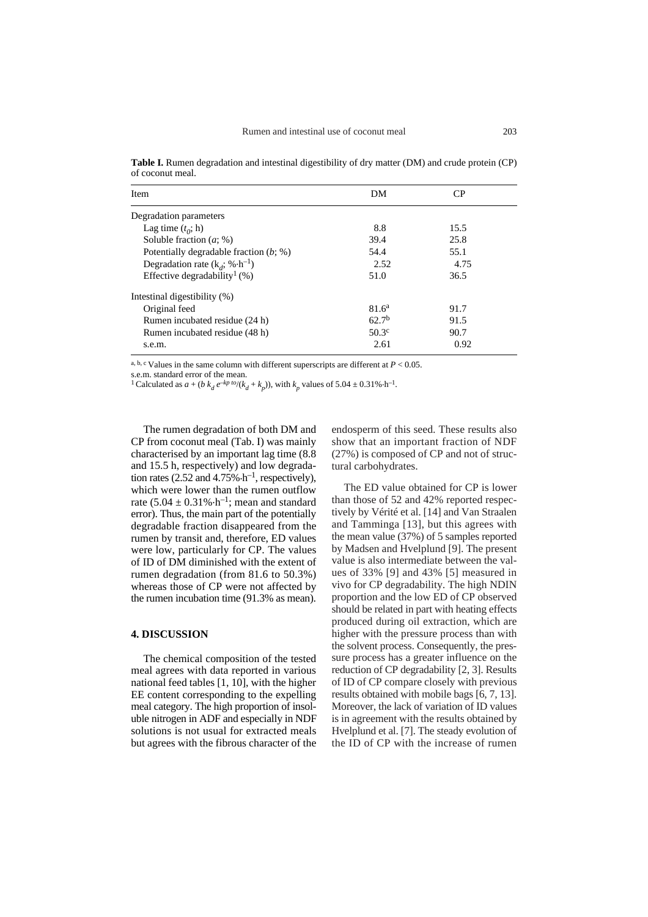**Table I.** Rumen degradation and intestinal digestibility of dry matter (DM) and crude protein (CP) of coconut meal.

| Item                                               | DM                | CР   |
|----------------------------------------------------|-------------------|------|
| Degradation parameters                             |                   |      |
| Lag time $(t_0; h)$                                | 8.8               | 15.5 |
| Soluble fraction $(a; \%)$                         | 39.4              | 25.8 |
| Potentially degradable fraction $(b; \%)$          | 54.4              | 55.1 |
| Degradation rate $(k_a; \mathcal{A} \cdot h^{-1})$ | 2.52              | 4.75 |
| Effective degradability <sup>1</sup> (%)           | 51.0              | 36.5 |
| Intestinal digestibility (%)                       |                   |      |
| Original feed                                      | 81.6 <sup>a</sup> | 91.7 |
| Rumen incubated residue (24 h)                     | 62.7 <sup>b</sup> | 91.5 |
| Rumen incubated residue (48 h)                     | $50.3^{\circ}$    | 90.7 |
| s.e.m.                                             | 2.61              | 0.92 |

a, b, c Values in the same column with different superscripts are different at  $P < 0.05$ .

s.e.m. standard error of the mean.

<sup>1</sup> Calculated as  $a + (b k_d e^{-kp \cdot to}/(k_d + k_p))$ , with  $k_p$  values of 5.04  $\pm$  0.31%  $h^{-1}$ .

The rumen degradation of both DM and CP from coconut meal (Tab. I) was mainly characterised by an important lag time (8.8 and 15.5 h, respectively) and low degradation rates (2.52 and 4.75% $\cdot$ h<sup>-1</sup>, respectively), which were lower than the rumen outflow rate  $(5.04 \pm 0.31\% \cdot h^{-1})$ ; mean and standard error). Thus, the main part of the potentially degradable fraction disappeared from the rumen by transit and, therefore, ED values were low, particularly for CP. The values of ID of DM diminished with the extent of rumen degradation (from 81.6 to 50.3%) whereas those of CP were not affected by the rumen incubation time (91.3% as mean).

## **4. DISCUSSION**

The chemical composition of the tested meal agrees with data reported in various national feed tables [1, 10], with the higher EE content corresponding to the expelling meal category. The high proportion of insoluble nitrogen in ADF and especially in NDF solutions is not usual for extracted meals but agrees with the fibrous character of the endosperm of this seed. These results also show that an important fraction of NDF (27%) is composed of CP and not of structural carbohydrates.

The ED value obtained for CP is lower than those of 52 and 42% reported respectively by Vérité et al. [14] and Van Straalen and Tamminga [13], but this agrees with the mean value (37%) of 5 samples reported by Madsen and Hvelplund [9]. The present value is also intermediate between the values of 33% [9] and 43% [5] measured in vivo for CP degradability. The high NDIN proportion and the low ED of CP observed should be related in part with heating effects produced during oil extraction, which are higher with the pressure process than with the solvent process. Consequently, the pressure process has a greater influence on the reduction of CP degradability [2, 3]. Results of ID of CP compare closely with previous results obtained with mobile bags [6, 7, 13]. Moreover, the lack of variation of ID values is in agreement with the results obtained by Hvelplund et al. [7]. The steady evolution of the ID of CP with the increase of rumen